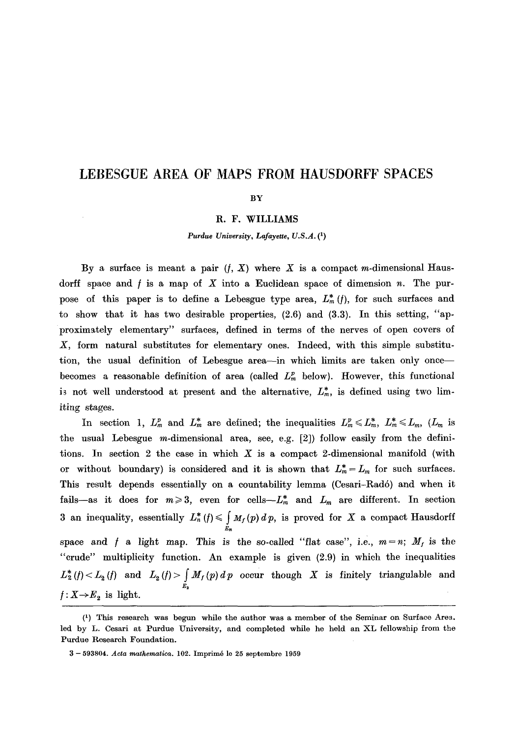# **LEBESGUE AREA OF MAPS FROM HAUSDORFF SPACES**

#### **BY**

### R. F. WILLIAMS

*Purdue University, Lafayette, U.S.A. (1)* 

By a surface is meant a pair  $(f, X)$  where X is a compact m-dimensional Hausdorff space and  $f$  is a map of  $X$  into a Euclidean space of dimension  $n$ . The purpose of this paper is to define a Lebesgue type area,  $L_m^*(f)$ , for such surfaces and to show that it has two desirable properties, (2.6) and (3.3). In this setting, *"ap*proximately elementary" surfaces, defined in terms of the nerves of open covers of X, form natural substitutes for elementary ones. Indeed, with this simple substitution, the usual definition of Lebesgue area--in which limits are taken only once-becomes a reasonable definition of area (called  $L<sub>m</sub><sup>p</sup>$  below). However, this functional is not well understood at present and the alternative,  $L_m^*$ , is defined using two limiting stages.

In section 1,  $L_m^p$  and  $L_m^*$  are defined; the inequalities  $L_m^p \leq L_m^*$ ,  $L_m^* \leq L_m$ ,  $(L_m$  is the usual Lebesgue m-dimensional area, see, e.g. [2]) follow easily from the definitions. In section 2 the case in which  $X$  is a compact 2-dimensional manifold (with or without boundary) is considered and it is shown that  $L_m^* = L_m$  for such surfaces. This result depends essentially on a countability lemma (Cesari-Rad6) and when it fails--as it does for  $m\geq 3$ , even for cells- $L_m^*$  and  $L_m$  are different. In section 3 an inequality, essentially  $L_n^*(f) \leq \int M_f(p) d p$ , is proved for X a compact Hausdorff  $\varepsilon_n$ space and f a light map. This is the so-called "flat case", i.e.,  $m = n$ ;  $M_f$  is the "crude" multiplicity function. An example is given (2.9) in which the inequalities  $L_2^*(f) < L_2(f)$  and  $L_2(f) > |M_f(p) dp$  occur though X is finitely triangulable and  $E_{2}$  $\bar{\nu}$  $f: X \rightarrow E_2$  is light.

<sup>(1)</sup> This research was begun while the author was a member of the Seminar on Surface Area. led by L. Cesari at Purdue University, and completed while he held an XL fellowship from the Purdue Research Foundation.

<sup>3 - 593804.</sup> *Aeta mathematiea.* 102. Imprim6 le 25 septembre 1959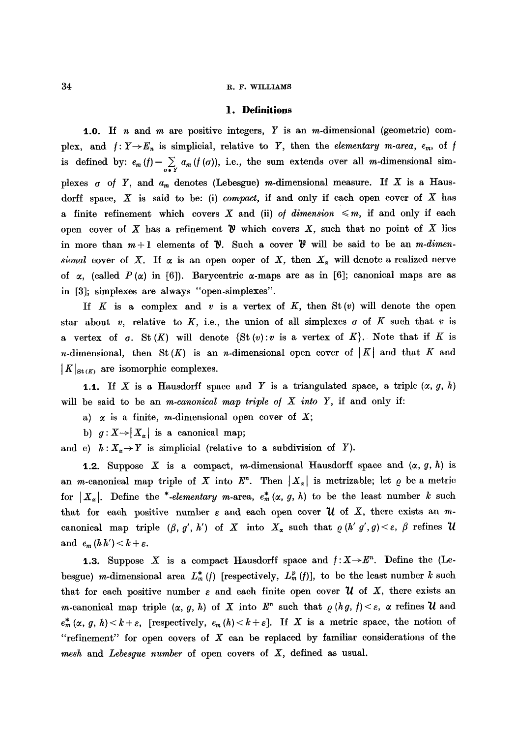#### 34 R. F. WILLIAMS

## **1. Definitions**

**1.0.** If n and m are positive integers, Y is an m-dimensional (geometric) complex, and  $f: Y \rightarrow E_n$  is simplicial, relative to Y, then the *elementary m-area, e<sub>m</sub>*, of f is defined by:  $e_m(f) = \sum_{\sigma \in Y} a_m(f(\sigma))$ , i.e., the sum extends over all *m*-dimensional simplexes  $\sigma$  of Y, and  $a_m$  denotes (Lebesgue) m-dimensional measure. If X is a Hausdorff space,  $X$  is said to be: (i) *compact*, if and only if each open cover of  $X$  has a finite refinement which covers X and (ii) *of dimension*  $\leq m$ , if and only if each open cover of X has a refinement  $\mathfrak{B}$  which covers X, such that no point of X lies in more than  $m+1$  elements of  $\mathcal V$ . Such a cover  $\mathcal V$  will be said to be an *m*-dimen*sional* cover of X. If  $\alpha$  is an open coper of X, then  $X_{\alpha}$  will denote a realized nerve of  $\alpha$ , (called  $P(\alpha)$  in [6]). Barycentric  $\alpha$ -maps are as in [6]; canonical maps are as in [3]; simplexes are always "open-simplexes".

If K is a complex and v is a vertex of K, then  $St(v)$  will denote the open star about v, relative to K, i.e., the union of all simplexes  $\sigma$  of K such that v is a vertex of  $\sigma$ . St  $(K)$  will denote  $\{St(v): v \text{ is a vertex of } K\}$ . Note that if K is *n*-dimensional, then St  $(K)$  is an *n*-dimensional open cover of  $|K|$  and that K and  $|K|_{\mathrm{St}(K)}$  are isomorphic complexes.

**1.1.** If X is a Hausdorff space and Y is a triangulated space, a triple  $(\alpha, g, h)$ will be said to be an *m*-canonical map triple of  $X$  into  $Y$ , if and only if:

- a)  $\alpha$  is a finite, *m*-dimensional open cover of X;
- b)  $g: X \rightarrow |X_{\alpha}|$  is a canonical map;

and c)  $h: X_{\alpha} \to Y$  is simplicial (relative to a subdivision of Y).

**1.2.** Suppose X is a compact, m-dimensional Hausdorff space and  $(\alpha, g, h)$  is an *m*-canonical map triple of X into  $E^n$ . Then  $|X_{\alpha}|$  is metrizable; let  $\varrho$  be a metric for  $X_{\alpha}$ . Define the \*-elementary m-area,  $e_{m}^{*}(\alpha, g, h)$  to be the least number k such that for each positive number  $\varepsilon$  and each open cover  $\mathcal U$  of X, there exists an mcanonical map triple  $(\beta, g', h')$  of X into  $X_{\alpha}$  such that  $\rho(h' g', g) < \varepsilon$ ,  $\beta$  refines  $\mathcal U$ and  $e_m(hh') < k + \varepsilon$ .

**1.3.** Suppose X is a compact Hausdorff space and  $f: X \rightarrow E^n$ . Define the (Lebesgue) m-dimensional area  $L_m^*(f)$  [respectively,  $L_m^p(f)$ ], to be the least number k such that for each positive number  $\varepsilon$  and each finite open cover  $\mathcal U$  of X, there exists an *m*-canonical map triple  $(\alpha, g, h)$  of X into  $E^n$  such that  $\varrho(hg, f) < \varepsilon$ ,  $\alpha$  refines U and  $e_m^*(\alpha, g, h) < k+\varepsilon$ , [respectively,  $e_m(h) < k+\varepsilon$ ]. If X is a metric space, the notion of "refinement" for open covers of  $X$  can be replaced by familiar considerations of the *mesh* and *Lebesgue number* of open covers of X, defined as usual.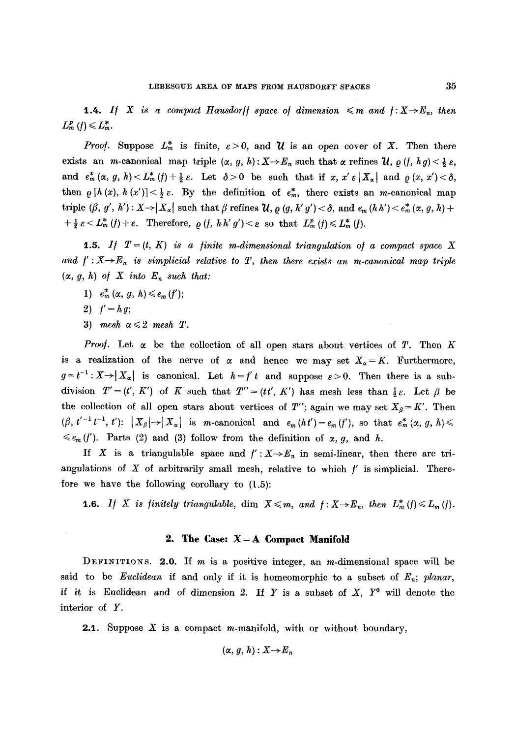**1.4.** If X is a compact Hausdorff space of dimension  $\leq m$  and  $f: X \rightarrow E_n$ , then  $L_m^p(f) \leq L_m^*$ .

*Proof.* Suppose  $L_m^*$  is finite,  $\varepsilon > 0$ , and  $\mathcal U$  is an open cover of X. Then there exists an *m*-canonical map triple  $(\alpha, g, h) : X \to E_n$  such that  $\alpha$  refines  $\mathcal{U}, \rho(f, hg) < \frac{1}{2} \varepsilon$ , and  $e_m^*({\alpha},g,h) < L_m^*({\mathfrak{f}})+\frac{1}{2}{\varepsilon}$ . Let  ${\delta} >0$  be such that if x, x' ${\varepsilon} |X_{\alpha}|$  and  $\rho(x,x') < {\delta}$ , then  $\rho[h(x),h(x')] < \frac{1}{2} \varepsilon$ . By the definition of  $e_m^*$ , there exists an *m*-canonical map triple  $(\beta, g', h') : X \rightarrow |X_{\alpha}|$  such that  $\beta$  refines  $\mathcal{U}, \rho(g, h' g') < \delta$ , and  $e_m(hh') < e_m^*(\alpha, g, h) +$  $+\frac{1}{2} \varepsilon \langle L_m^* (f) + \varepsilon$ . Therefore,  $\rho(f, h h' g') \langle \varepsilon \rangle$  so that  $L_m^p(f) \leq L_m^* (f)$ .

1.5. If  $T = (t, K)$  is a finite m-dimensional triangulation of a compact space X and  $f': X \rightarrow E_n$  is simplicial relative to T, then there exists an m-canonical map triple  $(\alpha, g, h)$  of  $X$  into  $E_n$  such that:

- 1)  $e_m^* (\alpha, g, h) \leq e_m(f)$ ;
- **2)**  $f' = hg;$
- 3) *mesh*  $\alpha \leqslant 2$  *mesh T.*

*Proof.* Let  $\alpha$  be the collection of all open stars about vertices of T. Then K is a realization of the nerve of  $\alpha$  and hence we may set  $X_{\alpha} = K$ . Furthermore,  $g=t^{-1}:X\rightarrow |X_{\alpha}|$  is canonical. Let  $h=f't$  and suppose  $\varepsilon>0$ . Then there is a subdivision  $T'=(t', K')$  of K such that  $T''=(tt', K')$  has mesh less than  $\frac{1}{2}\varepsilon$ . Let  $\beta$  be the collection of all open stars about vertices of T''; again we may set  $X_{\beta} = K'$ . Then  $(\beta, t'^{-1}t^{-1}, t')$ :  $|X_{\beta}|\rightarrow |X_{\alpha}|$  is m-canonical and  $e_m(ht')=e_m(f')$ , so that  $e_m^*(\alpha, g, h)$  $\leq e_m(f')$ . Parts (2) and (3) follow from the definition of  $\alpha$ , g, and h.

If X is a triangulable space and  $f': X \rightarrow E_n$  in semi-linear, then there are triangulations of  $X$  of arbitrarily small mesh, relative to which  $f'$  is simplicial. Therefore we have the following corollary to (1.5):

**1.6.** If X is finitely triangulable,  $\dim X \leq m$ , and  $f: X \rightarrow E_n$ , then  $L_m^*(f) \leq L_m(f)$ .

## **2. The Case: X= A Compact Manifold**

DEFINITIONS. 2.0. If  $m$  is a positive integer, an  $m$ -dimensional space will be said to be *Euclidean* if and only if it is homeomorphic to a subset of  $E_n$ ; *planar*, if it is Euclidean and of dimension 2. If Y is a subset of  $X$ ,  $Y^0$  will denote the interior of Y.

**2.1.** Suppose  $X$  is a compact m-manifold, with or without boundary,

$$
(\alpha, g, h): X {\rightarrow} E_n
$$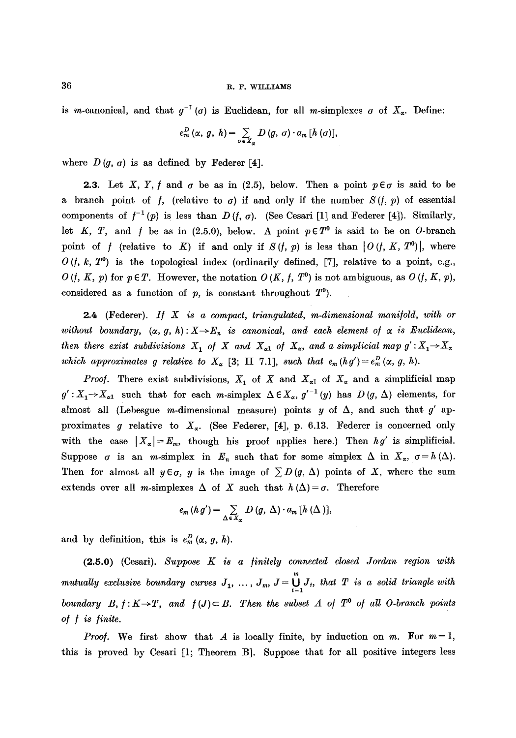is m-canonical, and that  $g^{-1}(\sigma)$  is Euclidean, for all m-simplexes  $\sigma$  of  $X_{\alpha}$ . Define:

$$
e_m^D(\alpha, g, h) = \sum_{\sigma \in X_\alpha} D(g, \sigma) \cdot a_m [h(\sigma)],
$$

where  $D(g, \sigma)$  is as defined by Federer [4].

**2.3.** Let X, Y, f and  $\sigma$  be as in (2.5), below. Then a point  $p \in \sigma$  is said to be a branch point of f, (relative to  $\sigma$ ) if and only if the number  $S(f, p)$  of essential components of  $f^{-1}(p)$  is less than  $D(f, \sigma)$ . (See Cesari [1] and Federer [4]). Similarly, let K, T, and f be as in (2.5.0), below. A point  $p \in T^0$  is said to be on O-branch point of f (relative to K) if and only if  $S(f, p)$  is less than  $|O(f, K, T^0)|$ , where  $O(t, k, T^0)$  is the topological index (ordinarily defined, [7], relative to a point, e.g.,  $O(t, K, p)$  for  $p \in T$ . However, the notation  $O(K, f, T^0)$  is not ambiguous, as  $O(t, K, p)$ , considered as a function of  $p$ , is constant throughout  $T^0$ ).

2.4 (Federer). *If* X is a compact, triangulated, m-dimensional manifold, with or without boundary,  $(\alpha, g, h) : X \to E_n$  is canonical, and each element of  $\alpha$  is Euclidean, *then there exist subdivisions*  $X_1$  *of*  $X$  *and*  $X_{\alpha 1}$  *of*  $X_{\alpha}$ *, and a simplicial map*  $g' : X_1 \rightarrow X_{\alpha}$ *which approximates g relative to*  $X_{\alpha}$  [3; II 7.1], *such that*  $e_m(hg') = e_m^D(\alpha, g, h)$ .

*Proof.* There exist subdivisions,  $X_1$  of X and  $X_{\alpha 1}$  of  $X_{\alpha}$  and a simplificial map  $g': X_1 \rightarrow X_{\alpha 1}$  such that for each *m*-simplex  $\Delta \in X_{\alpha}$ ,  $g'^{-1}(y)$  has  $D(g, \Delta)$  elements, for almost all (Lebesgue m-dimensional measure) points y of  $\Delta$ , and such that g' approximates g relative to  $X_{\alpha}$ . (See Federer, [4], p. 6.13. Federer is concerned only with the case  $|X_{\alpha}| = E_m$ , though his proof applies here.) Then  $hg'$  is simplificial. Suppose  $\sigma$  is an *m*-simplex in  $E_n$  such that for some simplex  $\Delta$  in  $X_\alpha$ ,  $\sigma = h(\Delta)$ . Then for almost all  $y \in \sigma$ , y is the image of  $\sum D(g, \Delta)$  points of X, where the sum extends over all *m*-simplexes  $\Delta$  of X such that  $h(\Delta) = \sigma$ . Therefore

$$
e_m(h g') = \sum_{\Delta \in X_{\alpha}} D(g, \Delta) \cdot a_m [h(\Delta)],
$$

and by definition, this is  $e_m^D(\alpha, g, h)$ .

(2.5.0) (Cesari). Suppose K is a *finitely connected closed Jordan region with mutually exclusive boundary curves*  $J_1, \ldots, J_m, J = \bigcup_{i=1} J_i$ , that  $T$  is a solid triangle with *boundary*  $B, f: K \to T$ , and  $f(J) \subset B$ . Then the subset A of  $T^0$  of all O-branch points *o/ ] is /inite.* 

*Proof.* We first show that A is locally finite, by induction on m. For  $m=1$ , this is proved by Cesari [1; Theorem B]. Suppose that for all positive integers less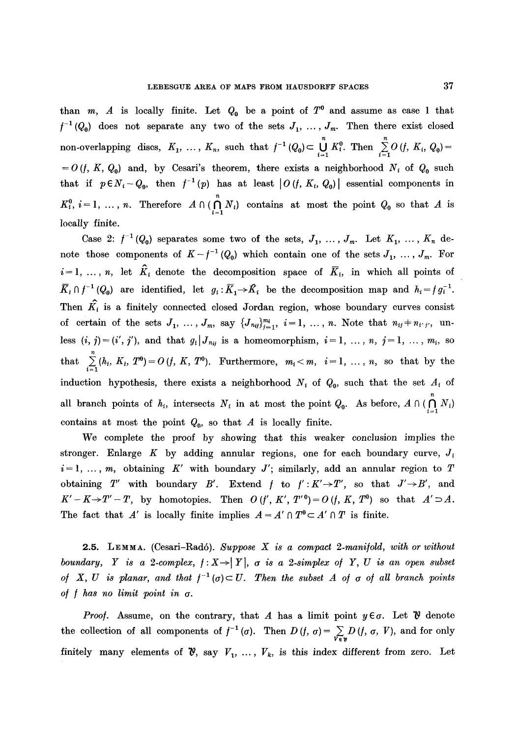than m, A is locally finite. Let  $Q_0$  be a point of  $T^0$  and assume as case 1 that  $f^{-1}(Q_0)$  does not separate any two of the sets  $J_1, \ldots, J_m$ . Then there exist closed non-overlapping discs,  $K_1, \ldots, K_n$ , such that  $f^{-1}(Q_0) \subset \bigcup_{i=1} K_i^0$ . Then  $\sum_{i=1} O(f, K_i, Q_0) =$  $= O(f, K, Q_0)$  and, by Cesari's theorem, there exists a neighborhood  $N_i$  of  $Q_0$  such that if  $p \in N_i - Q_0$ , then  $f^{-1}(p)$  has at least  $|O(f, K_i, Q_0)|$  essential components in  $K_i^0$ ,  $i=1,\ldots,n$ . Therefore  $A\cap(\bigcap_{i=1}N_i)$  contains at most the point  $Q_0$  so that A is locally finite.

Case 2:  $f^{-1}(Q_0)$  separates some two of the sets,  $J_1, \ldots, J_m$ . Let  $K_1, \ldots, K_n$  denote those components of  $K-f^{-1}(Q_0)$  which contain one of the sets  $J_1, \ldots, J_m$ . For  $i=1, ..., n$ , let  $\hat{K}_i$  denote the decomposition space of  $\overline{K}_i$ , in which all points of  $\overline{K}_i \cap f^{-1}(Q_0)$  are identified, let  $g_i : \overline{K}_1 \to \hat{K}_i$  be the decomposition map and  $h_i = f g_i^{-1}$ . Then  $\hat{K}_i$  is a finitely connected closed Jordan region, whose boundary curves consist of certain of the sets  $J_1, \ldots, J_m$ , say  $\{ J_{n_{ij}} \}_{j=1}^{m_i}, i=1, \ldots, n$ . Note that  $n_{ij}+n_{i'j'}$ , unless  $(i, j) = (i', j')$ , and that  $g_i | J_{n_{ij}}$  is a homeomorphism,  $i = 1, ..., n$ ,  $j = 1, ..., m_i$ , so that  $\sum_{i=1}^{n} (h_i, K_i, T^0) = O(f, K, T^0)$ . Furthermore,  $m_i < m, i = 1, ..., n$ , so that by the induction hypothesis, there exists a neighborhood  $N_i$  of  $Q_0$ , such that the set  $A_i$  of all branch points of  $h_i$ , intersects  $N_i$  in at most the point  $Q_0$ . As before,  $A \cap (\bigcap_{i=1}^{n} N_i)$ contains at most the point  $Q_0$ , so that A is locally finite.

We complete the proof by showing that this weaker conclusion implies the stronger. Enlarge K by adding annular regions, one for each boundary curve,  $J_i$  $i=1, \ldots, m$ , obtaining K' with boundary J'; similarly, add an annular region to T obtaining *T'* with boundary *B'*. Extend *f* to  $f': K' \rightarrow T'$ , so that  $J' \rightarrow B'$ , and  $K'-K\rightarrow T'-T$ , by homotopies. Then  $O(f', K', T'')=O(f, K, T')$  so that  $A'\supset A$ . The fact that A' is locally finite implies  $A = A' \cap T^0 \subset A' \cap T$  is finite.

2.5. LEMMA. (Cesari-Radó). *Suppose X is a compact 2-manifold, with or without boundary, Y is a 2-complex,*  $f: X \rightarrow |Y|$ *,*  $\sigma$  *<i>is a 2-simplex of Y, U is an open subset of* X, U is planar, and that  $f^{-1}(\sigma) \subset U$ . Then the subset A of  $\sigma$  of all branch points *o/ / has no limit point in a.* 

*Proof.* Assume, on the contrary, that A has a limit point  $y \in \sigma$ . Let  $\mathcal V$  denote the collection of all components of  $f^{-1}(\sigma)$ . Then  $D(f, \sigma) = \sum_{V \in \mathcal{V}} D(f, \sigma, V)$ , and for only finitely many elements of  $\mathcal{V}$ , say  $V_1, \ldots, V_k$ , is this index different from zero. Let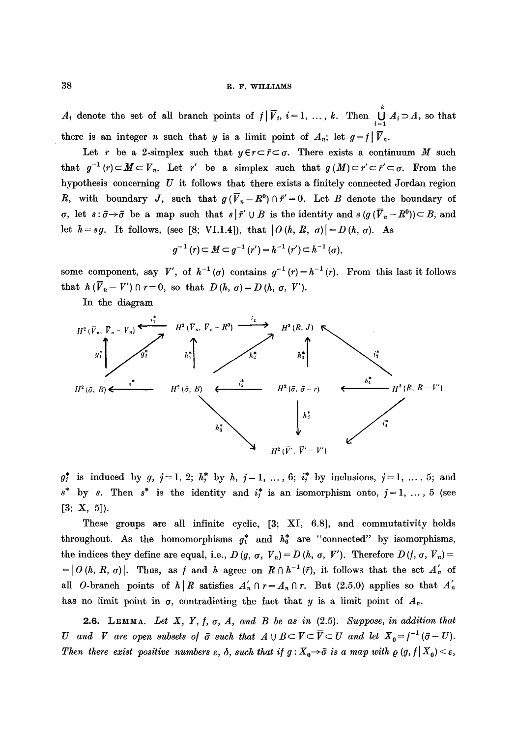# 38 R.F. WILLIAMS

 $A_i$  denote the set of all branch points of  $f | \overline{V}_i$ ,  $i = 1, ..., k$ . Then  $\bigcup_{i=1}^k A_i \supset A$ , so that there is an integer *n* such that *y* is a limit point of  $A_n$ ; let  $g = f|\overline{V}_n$ .

Let r be a 2-simplex such that  $y \in r \subset \overline{r} \subset \sigma$ . There exists a continuum M such that  $g^{-1}(r) \subset M \subset V_n$ . Let r' be a simplex such that  $g(M) \subset r' \subset \bar{r}' \subset \sigma$ . From the hypothesis concerning  $U$  it follows that there exists a finitely connected Jordan region R, with boundary J, such that  $g(\bar{V}_n-R^0) \cap \bar{r}'=0$ . Let B denote the boundary of  $\sigma$ , let  $s : \bar{\sigma} \to \bar{\sigma}$  be a map such that  $s | \bar{r}' \cup B$  is the identity and  $s (g (\bar{V}_n - R^0)) \subset B$ , and let  $h=sg.$  It follows, (see [8; VI.1.4]), that  $|O(h, R, \sigma)| = D(h, \sigma)$ . As

$$
g^{-1}(r) \subset M \subset g^{-1}(r') = h^{-1}(r') \subset h^{-1}(\sigma),
$$

some component, say V', of  $h^{-1}(\sigma)$  contains  $g^{-1}(r)=h^{-1}(r)$ . From this last it follows that  $h(\overline{V}_n - V') \cap r = 0$ , so that  $D(h, \sigma) = D(h, \sigma, V')$ .

In the diagram



 $g_j^*$  is induced by *g*,  $j=1, 2; h_j^*$  by *h*,  $j=1, ..., 6; i_j^*$  by inclusions,  $j=1, ..., 5;$  and  $s^*$  by s. Then  $s^*$  is the identity and  $i_j^*$  is an isomorphism onto,  $j = 1, ..., 5$  (see **[3; x, 5]).** 

These groups are all infinite cyclic, [3; XI, 6.8], and commutativity holds throughout. As the homomorphisms  $g_1^*$  and  $h_6^*$  are "connected" by isomorphisms, the indices they define are equal, i.e.,  $D(g, \sigma, V_n) = D(h, \sigma, V')$ . Therefore  $D(f, \sigma, V_n) =$  $= |O(h,R,\sigma)|$ . Thus, as f and h agree on  $R \cap h^{-1}(r)$ , it follows that the set  $A'_n$  of all O-branch points of  $h \mid R$  satisfies  $A'_n \cap r = A_n \cap r$ . But (2.5.0) applies so that  $A'_n$ has no limit point in  $\sigma$ , contradicting the fact that y is a limit point of  $A_n$ .

**2.6.** LEMMA. Let  $X$ ,  $Y$ ,  $f$ ,  $\sigma$ ,  $A$ , and  $B$  be as in  $(2.5)$ . Suppose, in addition that *U* and *V* are open subsets of  $\bar{\sigma}$  such that  $A \cup B \subset V \subset \bar{V} \subset U$  and let  $X_0 = f^{-1}(\bar{\sigma} - U)$ . Then there exist positive numbers  $\varepsilon$ ,  $\delta$ , such that if  $g: X_0 \to \tilde{\sigma}$  is a map with  $\varrho$   $(g, f | X_0) < \varepsilon$ ,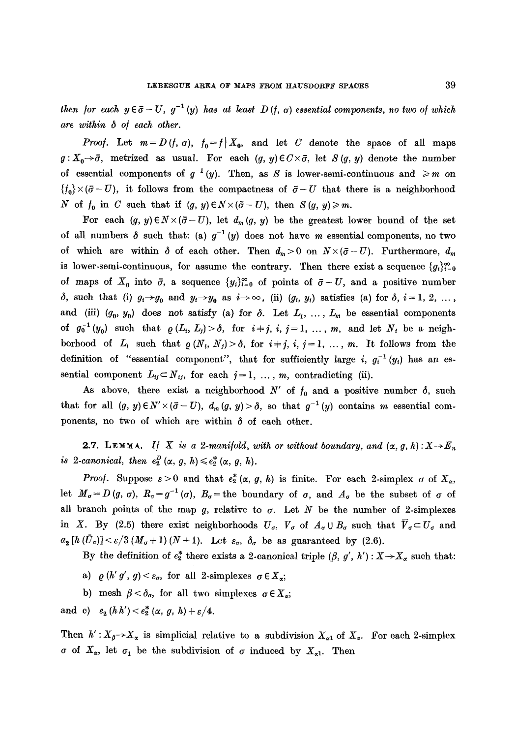*then for each*  $y \in \bar{\sigma} - U$ ,  $g^{-1}(y)$  has at least  $D(f, \sigma)$  essential components, no two of which *are within ~ of each other.* 

*Proof.* Let  $m = D(f, \sigma)$ ,  $f_0 = f | X_0$ , and let C denote the space of all maps  $g: X_0 \rightarrow \bar{\sigma}$ , metrized as usual. For each  $(g, y) \in C \times \bar{\sigma}$ , let  $S(g, y)$  denote the number of essential components of  $g^{-1}(y)$ . Then, as S is lower-semi-continuous and  $\geq m$  on  ${f_0} \times (\bar{\sigma} - U)$ , it follows from the compactness of  $\bar{\sigma} - U$  that there is a neighborhood N of  $f_0$  in C such that if  $(g, y) \in N \times (\bar{\sigma} - U)$ , then  $S(g, y) \geq m$ .

For each  $(g, y) \in N \times (\bar{g} - U)$ , let  $d_m(g, y)$  be the greatest lower bound of the set of all numbers  $\delta$  such that: (a)  $g^{-1}(y)$  does not have m essential components, no two of which are within  $\delta$  of each other. Then  $d_m>0$  on  $N\times (\bar{\sigma}-U)$ . Furthermore,  $d_m$ is lower-semi-continuous, for assume the contrary. Then there exist a sequence  $\{g_i\}_{i=0}^{\infty}$ of maps of  $X_0$  into  $\bar{\sigma}$ , a sequence  $\{y_i\}_{i=0}^{\infty}$  of points of  $\bar{\sigma} - U$ , and a positive number  $\delta$ , such that (i)  $g_i \rightarrow g_0$  and  $y_i \rightarrow y_0$  as  $i \rightarrow \infty$ , (ii)  $(g_i, y_i)$  satisfies (a) for  $\delta$ ,  $i=1, 2, \ldots$ , and (iii)  $(g_0, y_0)$  does not satisfy (a) for  $\delta$ . Let  $L_1, \ldots, L_m$  be essential components of  $g_0^{-1}(y_0)$  such that  $\rho(L_i, L_j) > \delta$ , for  $i+j, i, j=1, ..., m$ , and let  $N_i$  be a neighborhood of  $L_i$  such that  $\rho(N_i, N_j) > \delta$ , for  $i+j, i, j=1, ..., m$ . It follows from the definition of "essential component", that for sufficiently large i,  $g_i^{-1}(y_i)$  has an essential component  $L_{ij} \subset N_{ij}$ , for each  $j = 1, ..., m$ , contradicting (ii).

As above, there exist a neighborhood  $N'$  of  $f_0$  and a positive number  $\delta$ , such that for all  $(g, y) \in N' \times (\bar{\sigma} - U)$ ,  $d_m(g, y) > \delta$ , so that  $g^{-1}(y)$  contains m essential components, no two of which are within  $\delta$  of each other.

**2.7.** LEMMA. *If* X is a 2-manifold, with or without boundary, and  $(\alpha, g, h) : X \rightarrow E_n$ *is 2-canonical, then*  $e_2^D(\alpha, g, h) \leq e_2^*(\alpha, g, h)$ .

*Proof.* Suppose  $\varepsilon > 0$  and that  $e^*_2(\alpha, g, h)$  is finite. For each 2-simplex  $\sigma$  of  $X_\alpha$ , let  $M_{\sigma}=D(g,\sigma)$ ,  $R_{\sigma}=g^{-1}(\sigma)$ ,  $B_{\sigma}=$  the boundary of  $\sigma$ , and  $A_{\sigma}$  be the subset of  $\sigma$  of all branch points of the map g, relative to  $\sigma$ . Let N be the number of 2-simplexes in X. By (2.5) there exist neighborhoods  $U_{\sigma}$ ,  $V_{\sigma}$  of  $A_{\sigma} \cup B_{\sigma}$  such that  $\overline{V}_{\sigma} \subset U_{\sigma}$  and  $a_2[h(\bar{U}_\sigma)] < \varepsilon/3(M_\sigma+1)(N+1)$ . Let  $\varepsilon_\sigma$ ,  $\delta_\sigma$  be as guaranteed by (2.6).

By the definition of  $e_2^*$  there exists a 2-canonical triple  $(\beta, g', h') : X \rightarrow X_\alpha$  such that:

- a)  $\rho(h' g', g) < \varepsilon_{\sigma}$ , for all 2-simplexes  $\sigma \in X_{\alpha}$ ;
- b) mesh  $\beta < \delta_{\sigma}$ , for all two simplexes  $\sigma \in X_{\alpha}$ ;

and c)  $e_2(hh') < e_2^* (\alpha, g, h) + \varepsilon/4.$ 

Then  $h': X_{\beta} \rightarrow X_{\alpha}$  is simplicial relative to a subdivision  $X_{\alpha 1}$  of  $X_{\alpha}$ . For each 2-simplex  $\sigma$  of  $X_{\alpha}$ , let  $\sigma_1$  be the subdivision of  $\sigma$  induced by  $X_{\alpha 1}$ . Then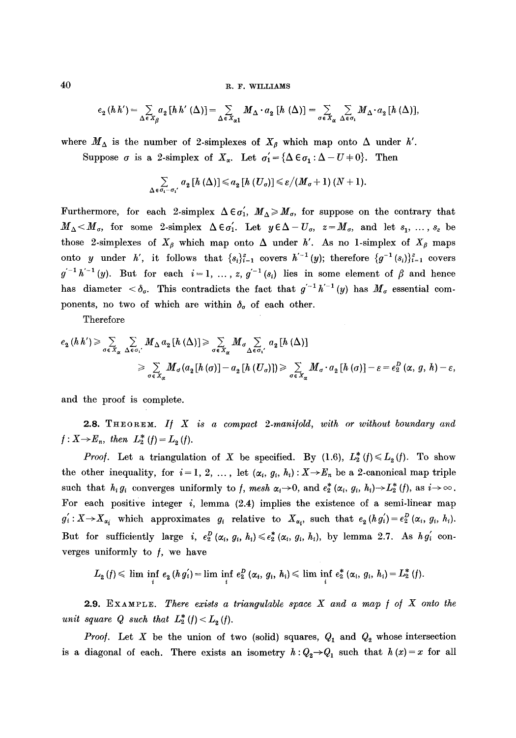40 R. F. WILLIAMS

$$
e_2(hh') = \sum_{\Delta \in X_\beta} a_2[hh'(\Delta)] = \sum_{\Delta \in X_{\alpha 1}} M_\Delta \cdot a_2[h(\Delta)] = \sum_{\sigma \in X_\alpha} \sum_{\Delta \in \sigma_1} M_\Delta \cdot a_2[h(\Delta)],
$$

where  $M_{\Delta}$  is the number of 2-simplexes of  $X_{\beta}$  which map onto  $\Delta$  under *h'*. Suppose  $\sigma$  is a 2-simplex of  $X_{\alpha}$ . Let  $\sigma'_1 = {\Delta \epsilon \sigma_1 : \Delta - U + 0}$ . Then

$$
\sum_{\Delta \in \sigma_i - \sigma_i'} a_2 [h(\Delta)] \leq a_2 [h(U_{\sigma})] \leq \varepsilon / (M_{\sigma} + 1) (N + 1).
$$

Furthermore, for each 2-simplex  $\Delta \epsilon \sigma'_{1}$ ,  $M_{\Delta} \geq M_{\sigma}$ , for suppose on the contrary that  $M_{\Delta} < M_{\sigma}$ , for some 2-simplex  $\Delta \epsilon \sigma_1'$ . Let  $y \epsilon \Delta - U_{\sigma}$ ,  $z = M_{\sigma}$ , and let  $s_1, \ldots, s_z$  be those 2-simplexes of  $X_{\beta}$  which map onto  $\Delta$  under *h'*. As no 1-simplex of  $X_{\beta}$  maps onto y under h', it follows that  $\{s_i\}_{i=1}^z$  covers  $h'^{-1}(y)$ ; therefore  $\{g^{-1}(s_i)\}_{i=1}^z$  covers  $g^{-1}h^{-1} (y)$ . But for each  $i=1, \ldots, z, g^{-1} (s_i)$  lies in some element of  $\beta$  and hence has diameter  $\langle \delta_{\sigma}$ . This contradicts the fact that  $g^{-1}h^{-1}(y)$  has  $M_{\sigma}$  essential components, no two of which are within  $\delta_{\sigma}$  of each other.

Therefore

$$
e_{2} (h h') \geqslant \sum_{\sigma \in X_{\alpha}} \sum_{\Delta \in \sigma_{1}} M_{\Delta} a_{2} [h (\Delta)] \geqslant \sum_{\sigma \in X_{\alpha}} M_{\sigma} \sum_{\Delta \in \sigma_{1}} a_{2} [h (\Delta)]
$$
  

$$
\geqslant \sum_{\sigma \in X_{\alpha}} M_{\sigma} (a_{2} [h (\sigma)] - a_{2} [h (U_{\sigma})]) \geqslant \sum_{\sigma \in X_{\alpha}} M_{\sigma} \cdot a_{2} [h (\sigma)] - \varepsilon = e_{2}^{D} (\alpha, g, h) - \varepsilon,
$$

and the proof is complete.

2.8. THEOREM. *I/ X is a compact 2-mani/old, with or without boundary and*   $f: X \to E_n$ , then  $L_2^*(f) = L_2(f)$ .

*Proof.* Let a triangulation of X be specified. By (1.6),  $L_2^*(f) \le L_2(f)$ . To show the other inequality, for  $i = 1, 2, \ldots$ , let  $(\alpha_i, g_i, h_i) : X \to E_n$  be a 2-canonical map triple such that  $h_i g_i$  converges uniformly to f, mesh  $\alpha_i \rightarrow 0$ , and  $e^*_2(\alpha_i, g_i, h_i) \rightarrow L^*_2(f)$ , as  $i \rightarrow \infty$ . For each positive integer  $i$ , lemma  $(2.4)$  implies the existence of a semi-linear map  $g'_i: X \to X_{\alpha_i}$  which approximates  $g_i$  relative to  $X_{\alpha_i}$ , such that  $e_2(h g'_i) = e_2^D(\alpha_i, g_i, h_i)$ . But for sufficiently large *i,*  $e_2^D(\alpha_i, g_i, h_i) \leqslant e_2^*(\alpha_i, g_i, h_i)$ , by lemma 2.7. As  $hg'_i$  converges uniformly to  $f$ , we have

$$
L_2(f) \leq \liminf_i e_2(h g'_i) = \liminf_i e_2^D(\alpha_i, g_i, h_i) \leq \liminf_i e_2^*(\alpha_i, g_i, h_i) = L_2^*(f).
$$

2.9. EXAMPLE. *There exists a triangulable space X and a map / o/ X onto the unit square Q such that*  $L_2^*(f) < L_2(f)$ .

*Proof.* Let X be the union of two (solid) squares,  $Q_1$  and  $Q_2$  whose intersection is a diagonal of each. There exists an isometry  $h:Q_2 \rightarrow Q_1$  such that  $h(x)=x$  for all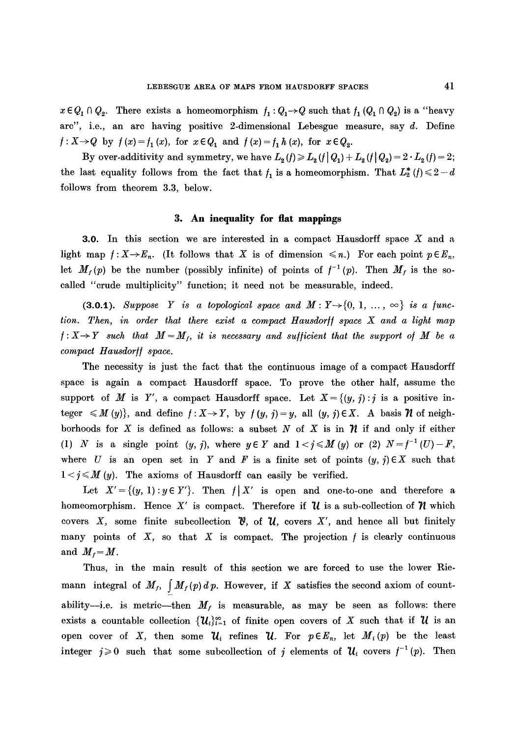$x \in Q_1 \cap Q_2$ . There exists a homeomorphism  $f_1: Q_1 \rightarrow Q$  such that  $f_1(Q_1 \cap Q_2)$  is a "heavy arc", i.e., an are having positive 2-dimensional Lebesgue measure, say d. Define  $f: X \to Q$  by  $f(x) = f_1(x)$ , for  $x \in Q_1$  and  $f(x) = f_1 h(x)$ , for  $x \in Q_2$ .

By over-additivity and symmetry, we have  $L_2(f) \ge L_2(f|Q_1) + L_2(f|Q_2) = 2 \cdot L_2(f) = 2;$ the last equality follows from the fact that  $f_1$  is a homeomorphism. That  $L_2^*(f) \leq 2-d$ follows from theorem 3.3, below.

## **3. An inequality for fiat mappings**

3.0. In this section we are interested in a compact Hausdorff space X and a light map  $f: X \to E_n$ . (It follows that X is of dimension  $\leq n$ .) For each point  $p \in E_n$ , let  $M_f(p)$  be the number (possibly infinite) of points of  $f^{-1}(p)$ . Then  $M_f$  is the socalled "crude multiplicity" function; it need not be measurable, indeed.

(3.0.1). Suppose Y is a topological space and  $M: Y \rightarrow \{0, 1, ..., \infty\}$  is a func*tion. Then, in order that there exist a compact Hausdorff space X and a light map*  $f: X \rightarrow Y$  such that  $M=M_f$ , it is necessary and sufficient that the support of M be a *compact Hausdor// space.* 

The necessity is just the fact that the continuous image of a compact Hansdorff space is again a compact Hausdorff space. To prove the other half, assume the support of M is Y', a compact Hausdorff space. Let  $X = \{(y, j) : j \text{ is a positive in-}$ teger  $\leq M(y)$ , and define  $f: X \to Y$ , by  $f(y, j) = y$ , all  $(y, j) \in X$ . A basis *n* of neighborhoods for X is defined as follows: a subset N of X is in  $\mathcal N$  if and only if either (1) N is a single point  $(y, j)$ , where  $y \in Y$  and  $1 < j \le M(y)$  or (2)  $N = f^{-1}(U) - F$ , where U is an open set in Y and F is a finite set of points  $(y, j) \in X$  such that  $1 < j \le M(y)$ . The axioms of Hausdorff can easily be verified.

Let  $X' = \{(y, 1) : y \in Y'\}$ . Then  $f \mid X'$  is open and one-to-one and therefore a homeomorphism. Hence X' is compact. Therefore if  $\mathcal U$  is a sub-collection of  $\mathcal W$  which covers X, some finite subcollection  $\mathcal{V}$ , of  $\mathcal{U}$ , covers X', and hence all but finitely many points of  $X$ , so that  $X$  is compact. The projection  $f$  is clearly continuous and  $M_f = M$ .

Thus, in the main result of this section we are forced to use the lower Riemann integral of  $M_f$ ,  $\int M_f(p) dp$ . However, if X satisfies the second axiom of countability--i.e. is metric---then  $M_f$  is measurable, as may be seen as follows: there exists a countable collection  $\{U_i\}_{i=1}^{\infty}$  of finite open covers of X such that if  $\mathcal U$  is an open cover of X, then some  $\mathcal{U}_i$  refines  $\mathcal{U}_i$ . For  $p \in E_n$ , let  $M_i(p)$  be the least integer  $j\geq 0$  such that some subcollection of j elements of  $\mathcal{U}_i$  covers  $f^{-1}(p)$ . Then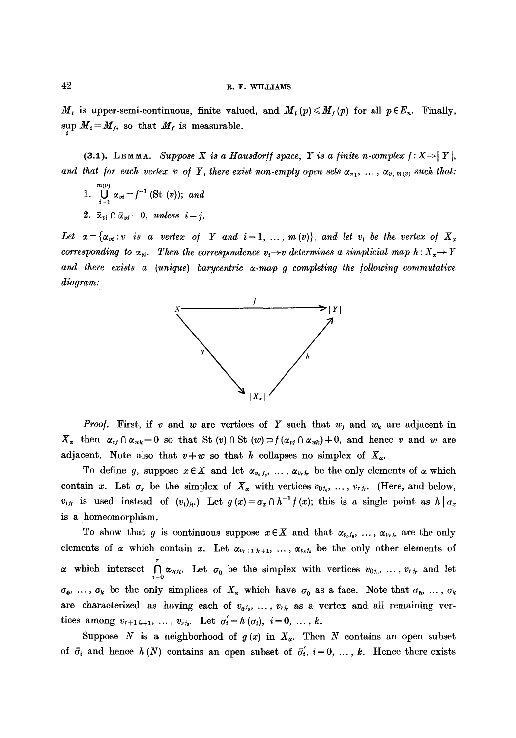$M_i$  is upper-semi-continuous, finite valued, and  $M_i(p) \leq M_f(p)$  for all  $p \in E_n$ . Finally,  $\sup_i M_i = M_f$ , so that  $M_f$  is measurable.

(3.1). LEMMA. *Suppose X is a Hausdorff space, Y is a finite n-complex f: X > | Y |, and that for each vertex v of Y, there exist non-empty open sets*  $\alpha_{v1}, \ldots, \alpha_{v,m(v)}$  such that:

- 1.  $\bigcup_{i=1}^{m(v)} \alpha_{vi} = f^{-1}(\mathrm{St}(v));$  *and*
- 2.  $\bar{\alpha}_{ni} \cap \bar{\alpha}_{ni} = 0$ , unless  $i = j$ .

Let  $\alpha = \{\alpha_{vi}:v \text{ is a vertex of } Y \text{ and } i=1,\ldots,m(v)\},\text{ and let } v_i \text{ be the vertex of } X_\alpha$ corresponding to  $\alpha_{vi}$ . Then the correspondence  $v_i \rightarrow v$  determines a simplicial map  $h: X_{\alpha} \rightarrow Y$ and there exists a (unique) barycentric  $\alpha$ -map g completing the following commutative *diagram:* 



*Proof.* First, if v and w are vertices of Y such that  $w_j$  and  $w_k$  are adjacent in  $X_{\alpha}$  then  $\alpha_{vj} \cap \alpha_{wk} + 0$  so that St  $(v) \cap$  St  $(w) \supset f(\alpha_{vj} \cap \alpha_{wk}) + 0$ , and hence v and w are adjacent. Note also that  $v+w$  so that h collapses no simplex of  $X_{\alpha}$ .

To define g, suppose  $x \in X$  and let  $\alpha_{v_i,j_i}, \ldots, \alpha_{v_r,j_r}$  be the only elements of  $\alpha$  which contain x. Let  $\sigma_x$  be the simplex of  $X_\alpha$  with vertices  $v_{0i_0}, \ldots, v_{rj_r}$ . (Here, and below,  $v_{ijk}$  is used instead of  $(v_i)_{ji}$ .) Let  $g(x) = \sigma_x \cap h^{-1} f(x)$ ; this is a single point as  $h | \sigma_x$ is a homeomorphism.

To show that g is continuous suppose  $x \in X$  and that  $\alpha_{v_0,j_0}, \ldots, \alpha_{v_r,j_r}$  are the only elements of  $\alpha$  which contain x. Let  $\alpha_{v_{r+1},v_{r+1},\ldots}$ ,  $\alpha_{v_{s},v_{s}}$  be the only other elements of which intersect  $\bigcap_{i=0}^{\infty} \alpha_{v_i j_i}$ . Let  $\sigma_0$  be the simplex with vertices  $v_{0j_0}, \ldots, v_{r j_r}$  and let  $\sigma_0, \ldots, \sigma_k$  be the only simplices of  $X_\alpha$  which have  $\sigma_0$  as a face. Note that  $\sigma_0, \ldots, \sigma_k$ are characterized as having each of  $v_{0,i_0}, \ldots, v_{r,i_r}$  as a vertex and all remaining vertices among  $v_{r+1,i_{r+1}}$ , ...,  $v_{s,i_r}$ . Let  $\sigma'_i = h(\sigma_i), i = 0, ..., k$ .

Suppose N is a neighborhood of  $g(x)$  in  $X_x$ . Then N contains an open subset of  $\bar{\sigma}_i$  and hence  $h(N)$  contains an open subset of  $\bar{\sigma}'_i$ ,  $i = 0, \ldots, k$ . Hence there exists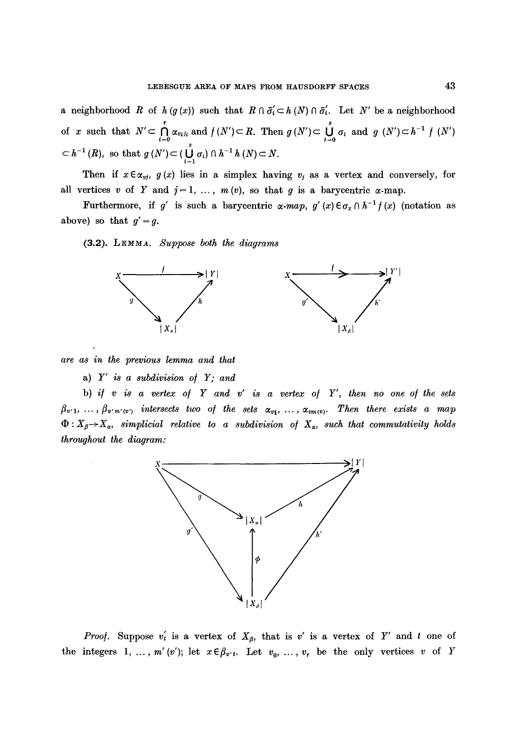a neighborhood R of  $h (g (x))$  such that  $R \cap \overline{\sigma}_i \subset h (N) \cap \overline{\sigma}_i'$ . Let N' be a neighborhood of x such that  $N' \subset \bigcap_{i=0}^{\infty} \alpha_{v_i j_i}$  and  $f(N') \subset R$ . Then  $g(N') \subset \bigcup_{i=0}^{\infty} \sigma_i$  and  $g(N') \subset h^{-1} f(N')$  $\subset h^{-1}(R)$ , so that  $g(N') \subset (\bigcup_{i=1}^{n} \sigma_i) \cap h^{-1}h(N) \subset N$ .

Then if  $x \in \alpha_{vj}$ ,  $g(x)$  lies in a simplex having  $v_j$  as a vertex and conversely, for all vertices v of Y and  $j=1, \ldots, m(v)$ , so that g is a barycentric  $\alpha$ -map.

Furthermore, if g' is such a barycentric  $\alpha$ -map, g' (x)  $\epsilon \sigma_x \cap h^{-1} f(x)$  (notation as above) so that  $g' = g$ .

(3.2). *LEMMA. Suppose both the diagrams* 



*are as in the previous lemma and that* 

a) *Y' is a subdivision o/ Y; and* 

b) *if v is a vertex of Y and v" is a vertex of Y', then no one of the sets*   $\beta_{v'1}, \ldots, \beta_{v'm'(v')}$  intersects two of the sets  $\alpha_{v1}, \ldots, \alpha_{vm(v)}$ . Then there exists a map  $\Phi: X_{\beta} \to X_{\alpha}$ , simplicial relative to a subdivision of  $X_{\alpha}$ , such that commutativity holds *throughout the diagram:* 



*Proof.* Suppose  $v'_t$  is a vertex of  $X_\beta$ , that is  $v'$  is a vertex of Y' and t one of the integers 1, ...,  $m'(v')$ ; let  $x \in \beta_{v't}$ . Let  $v_0, \ldots, v_r$  be the only vertices v of Y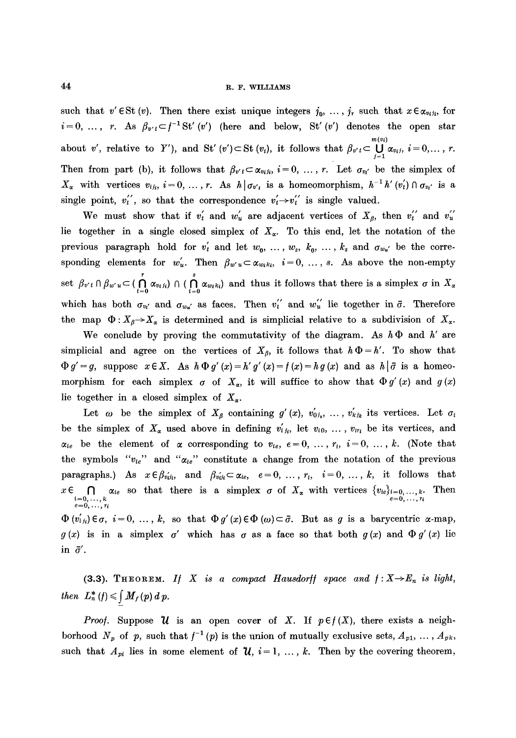such that  $v' \in St(v)$ . Then there exist unique integers  $j_0, \ldots, j_r$  such that  $x \in \alpha_{v_i j_i}$ , for  $i=0, \ldots, r$ . As  $\beta_{v'}t \subset f^{-1}St' (v')$  (here and below, St'(v') denotes the open star  $m(v_i)$ about v', relative to Y'), and St' (v')  $\subset$  St (v<sub>i</sub>), it follows that  $\beta_{v'} \subset \bigcup \alpha_{v_i}, i=0,\ldots, r$ . Then from part (b), it follows that  $\beta_{v' t} \subset \alpha_{v_i t_i}$ ,  $i=0, \ldots, r$ . Let  $\sigma_{v_i'}$  be the simplex of  $X_{\alpha}$  with vertices  $v_{i,j}$ ,  $i=0,\ldots,r$ . As  $h\mid \sigma_{v'}$  is a homeomorphism,  $h^{-1}h'(v'_t)\cap \sigma_{v'_t}$  is a single point,  $v_t''$ , so that the correspondence  $v_t' \rightarrow v_t''$  is single valued.

We must show that if  $v'_t$  and  $w'_u$  are adjacent vertices of  $X_{\beta}$ , then  $v''_t$  and  $v''_u$ lie together in a single closed simplex of  $X_{\alpha}$ . To this end, let the notation of the previous paragraph hold for  $v'_t$  and let  $w_0, \ldots, w_s, k_0, \ldots, k_s$  and  $\sigma_{w_{u'}}$  be the corresponding elements for  $w'_u$ . Then  $\beta_{w'} u \subset \alpha_{w_i k_i}$ ,  $i=0, \ldots, s$ . As above the non-empty set  $\beta_{v't} \cap \beta_{w'u} \subset (\bigcap_{i=0} \alpha_{v_i i_i}) \cap (\bigcap_{i=0} \alpha_{w_i k_i})$  and thus it follows that there is a simplex  $\sigma$  in  $X_\alpha$ which has both  $\sigma_{v_i}$  and  $\sigma_{v_{u'}}$  as faces. Then  $v_i'$  and  $w_u''$  lie together in  $\bar{\sigma}$ . Therefore the map  $\Phi: X_{\beta} \to X_{\alpha}$  is determined and is simplicial relative to a subdivision of  $X_{\alpha}$ .

We conclude by proving the commutativity of the diagram. As  $h \Phi$  and h' are simplicial and agree on the vertices of  $X_{\beta}$ , it follows that  $h\Phi = h'$ . To show that  $\Phi g' = g$ , suppose  $x \in X$ . As  $h \Phi g'(x) = h' g'(x) = f(x) = h g(x)$  and as  $h | \bar{\sigma}$  is a homeomorphism for each simplex  $\sigma$  of  $X_{\alpha}$ , it will suffice to show that  $\Phi g'(x)$  and  $g(x)$ lie together in a closed simplex of  $X_{\alpha}$ .

Let  $\omega$  be the simplex of  $X_{\beta}$  containing  $g'(x), v'_{0j_0}, \ldots, v'_{k j_k}$  its vertices. Let  $\sigma_i$ be the simplex of  $X_{\alpha}$  used above in defining  $v'_{ij}$ , let  $v_{i0}$ , ...,  $v_{ir_i}$  be its vertices, and  $\alpha_{ie}$  be the element of  $\alpha$  corresponding to  $v_{ie}$ ,  $e=0, \ldots, r_i$ ,  $i=0, \ldots, k$ . (Note that the symbols  $"v_{te}"$  and  $"a_{te}"$  constitute a change from the notation of the previous paragraphs.) As  $x \in \beta_{v_i i_j}$ , and  $\beta_{v_i i_j} \subset \alpha_{i \in \mathfrak{e}}$ ,  $e=0, \ldots, r_i$ ,  $i=0, \ldots, k$ , it follows that  $x \in \bigcap_{\substack{i=0,\ldots,k \ e=0,\ldots,n}} \alpha_{ie}$  so that there is a simplex  $\sigma$  of  $X_{\alpha}$  with vertices  $\{v_{ie}\}_{i=0,\ldots,k}$ . Then

 $\Phi(v_{ijk}) \in \sigma, i = 0, ..., k$ , so that  $\Phi(g'(x) \in \Phi(\omega) \subset \bar{\sigma}$ . But as g is a barycentric  $\alpha$ -map,  $g(x)$  is in a simplex  $g'$  which has  $g$  as a face so that both  $g(x)$  and  $\Phi(g'(x))$  lie in  $\bar{\sigma}'$ .

(3.3). THEOREM. *If* X is a compact Hausdorff space and  $f: X \rightarrow E_n$  is light, *then*  $L_n^*(f) \leqslant \int M_f(p) d p$ .

*Proof.* Suppose  $\mathcal U$  is an open cover of X. If  $p \in f(X)$ , there exists a neighborhood  $N_p$  of p, such that  $f^{-1}(p)$  is the union of mutually exclusive sets,  $A_{p1}, \ldots, A_{pk}$ , such that  $A_{pi}$  lies in some element of  $\mathcal{U}, i = 1, ..., k$ . Then by the covering theorem,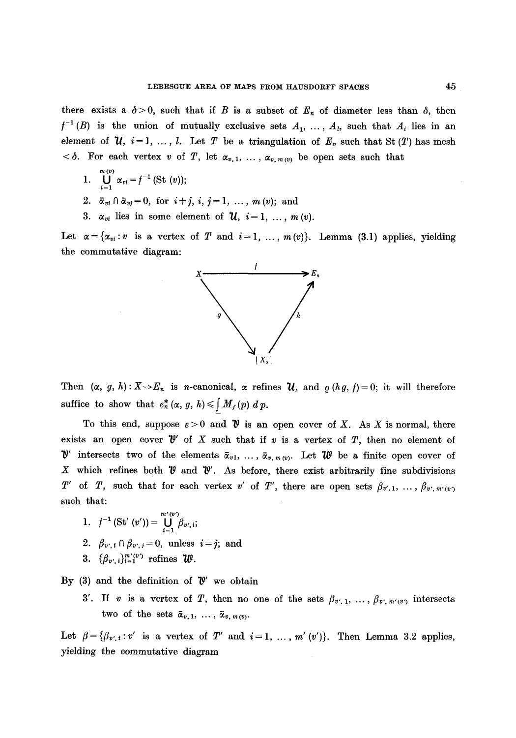there exists a  $\delta > 0$ , such that if B is a subset of  $E_n$  of diameter less than  $\delta$ , then  $f^{-1}(B)$  is the union of mutually exclusive sets  $A_1, \ldots, A_k$ , such that  $A_i$  lies in an element of  $u, i = 1, ..., l$ . Let T be a triangulation of  $E_n$  such that St (T) has mesh  $<\delta$ . For each vertex v of T, let  $\alpha_{v,1}, \ldots, \alpha_{v,m(v)}$  be open sets such that

- $m(v)$ 1.  $\bigcup_{i=1}^{\infty} \alpha_{vi} = f^{-1}$  (St  $(v)$ );
- 2.  $\bar{\alpha}_{vi} \cap \bar{\alpha}_{vi}=0$ , for  $i \neq j$ ,  $i, j=1, ..., m(v)$ ; and
- 3.  $\alpha_{vi}$  lies in some element of  $\mathcal{U}, i=1, ..., m(v)$ .

Let  $\alpha = \{\alpha_{vi}: v \text{ is a vertex of } T \text{ and } i = 1, ..., m(v)\}.$  Lemma (3.1) applies, yielding the commutative diagram:



Then  $(\alpha, g, h): X \to E_n$  is *n*-canonical,  $\alpha$  refines  $\mathcal{U}$ , and  $\rho(hg, f) = 0$ ; it will therefore suffice to show that  $e_n^* (\alpha, g, h) \leq \int M_f(p) \, dp$ .

To this end, suppose  $\varepsilon > 0$  and  $\mathcal V$  is an open cover of X. As X is normal, there exists an open cover  $\mathcal{V}'$  of X such that if v is a vertex of T, then no element of  $\mathcal{V}'$  intersects two of the elements  $\bar{\alpha}_{v1}, \ldots, \bar{\alpha}_{v, m(v)}$ . Let  $\mathcal{U}$  be a finite open cover of X which refines both  $\mathcal V$  and  $\mathcal V'$ . As before, there exist arbitrarily fine subdivisions T' of T, such that for each vertex v' of T', there are open sets  $\beta_{v',1}, \ldots, \beta_{v',m'(v')}$ such that:

1.  $f^{-1}$  (St'  $(v')$ ) =  $\bigcup_{i=1}^{m'(v')} \beta_{v',i};$ 2.  $\beta_{v',i} \cap \beta_{v',j} = 0$ , unless  $i = j$ ; and 3.  $\{\beta_{v',i}\}_{i=1}^{m'(v')}$  refines  $\psi$ .

By (3) and the definition of  $\mathcal{V}'$  we obtain

3'. If v is a vertex of T, then no one of the sets  $\beta_{v',1}, \ldots, \beta_{v',m'(v')}$  intersects two of the sets  $\bar{\alpha}_{v,1}, \ldots, \bar{\alpha}_{v,m(v)}$ .

Let  $\beta = {\beta_{v',i}:v'$  is a vertex of T' and  $i=1, ..., m'(v')\}$ . Then Lemma 3.2 applies, yielding the commutative diagram